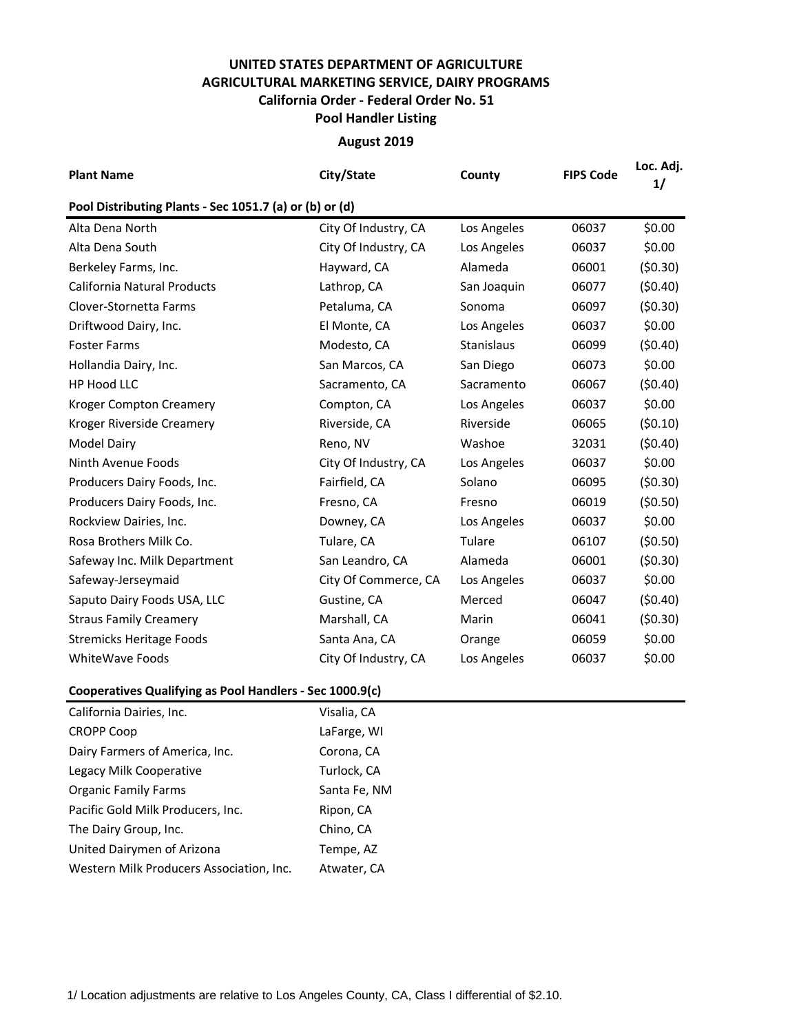## **UNITED STATES DEPARTMENT OF AGRICULTURE AGRICULTURAL MARKETING SERVICE, DAIRY PROGRAMS Pool Handler Listing California Order - Federal Order No. 51**

## **August 2019**

| <b>Plant Name</b>                                       | City/State           | County      | <b>FIPS Code</b> | Loc. Adj.<br>1/ |  |  |  |  |  |
|---------------------------------------------------------|----------------------|-------------|------------------|-----------------|--|--|--|--|--|
| Pool Distributing Plants - Sec 1051.7 (a) or (b) or (d) |                      |             |                  |                 |  |  |  |  |  |
| Alta Dena North                                         | City Of Industry, CA | Los Angeles | 06037            | \$0.00          |  |  |  |  |  |
| Alta Dena South                                         | City Of Industry, CA | Los Angeles | 06037            | \$0.00          |  |  |  |  |  |
| Berkeley Farms, Inc.                                    | Hayward, CA          | Alameda     | 06001            | (50.30)         |  |  |  |  |  |
| California Natural Products                             | Lathrop, CA          | San Joaquin | 06077            | (50.40)         |  |  |  |  |  |
| Clover-Stornetta Farms                                  | Petaluma, CA         | Sonoma      | 06097            | (50.30)         |  |  |  |  |  |
| Driftwood Dairy, Inc.                                   | El Monte, CA         | Los Angeles | 06037            | \$0.00          |  |  |  |  |  |
| <b>Foster Farms</b>                                     | Modesto, CA          | Stanislaus  | 06099            | (50.40)         |  |  |  |  |  |
| Hollandia Dairy, Inc.                                   | San Marcos, CA       | San Diego   | 06073            | \$0.00          |  |  |  |  |  |
| HP Hood LLC                                             | Sacramento, CA       | Sacramento  | 06067            | (50.40)         |  |  |  |  |  |
| <b>Kroger Compton Creamery</b>                          | Compton, CA          | Los Angeles | 06037            | \$0.00          |  |  |  |  |  |
| Kroger Riverside Creamery                               | Riverside, CA        | Riverside   | 06065            | (50.10)         |  |  |  |  |  |
| <b>Model Dairy</b>                                      | Reno, NV             | Washoe      | 32031            | (50.40)         |  |  |  |  |  |
| Ninth Avenue Foods                                      | City Of Industry, CA | Los Angeles | 06037            | \$0.00          |  |  |  |  |  |
| Producers Dairy Foods, Inc.                             | Fairfield, CA        | Solano      | 06095            | (50.30)         |  |  |  |  |  |
| Producers Dairy Foods, Inc.                             | Fresno, CA           | Fresno      | 06019            | (50.50)         |  |  |  |  |  |
| Rockview Dairies, Inc.                                  | Downey, CA           | Los Angeles | 06037            | \$0.00          |  |  |  |  |  |
| Rosa Brothers Milk Co.                                  | Tulare, CA           | Tulare      | 06107            | (50.50)         |  |  |  |  |  |
| Safeway Inc. Milk Department                            | San Leandro, CA      | Alameda     | 06001            | (50.30)         |  |  |  |  |  |
| Safeway-Jerseymaid                                      | City Of Commerce, CA | Los Angeles | 06037            | \$0.00          |  |  |  |  |  |
| Saputo Dairy Foods USA, LLC                             | Gustine, CA          | Merced      | 06047            | (50.40)         |  |  |  |  |  |
| <b>Straus Family Creamery</b>                           | Marshall, CA         | Marin       | 06041            | (50.30)         |  |  |  |  |  |
| <b>Stremicks Heritage Foods</b>                         | Santa Ana, CA        | Orange      | 06059            | \$0.00          |  |  |  |  |  |
| <b>WhiteWave Foods</b>                                  | City Of Industry, CA | Los Angeles | 06037            | \$0.00          |  |  |  |  |  |

## **Cooperatives Qualifying as Pool Handlers - Sec 1000.9(c)**

| California Dairies, Inc.                 | Visalia, CA  |
|------------------------------------------|--------------|
| <b>CROPP Coop</b>                        | LaFarge, WI  |
| Dairy Farmers of America, Inc.           | Corona, CA   |
| Legacy Milk Cooperative                  | Turlock, CA  |
| <b>Organic Family Farms</b>              | Santa Fe, NM |
| Pacific Gold Milk Producers, Inc.        | Ripon, CA    |
| The Dairy Group, Inc.                    | Chino, CA    |
| United Dairymen of Arizona               | Tempe, AZ    |
| Western Milk Producers Association, Inc. | Atwater, CA  |